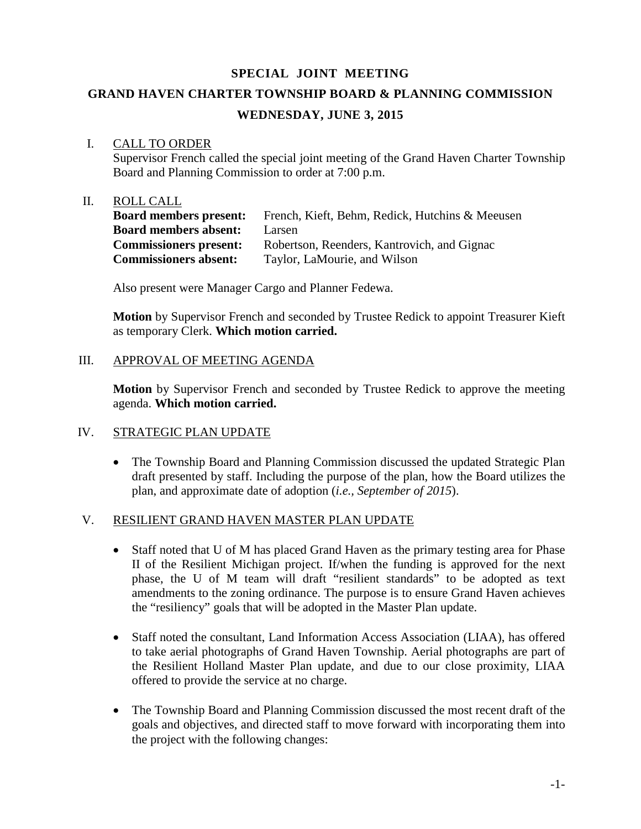## **SPECIAL JOINT MEETING**

# **GRAND HAVEN CHARTER TOWNSHIP BOARD & PLANNING COMMISSION**

## **WEDNESDAY, JUNE 3, 2015**

### I. CALL TO ORDER

Supervisor French called the special joint meeting of the Grand Haven Charter Township Board and Planning Commission to order at 7:00 p.m.

#### II. ROLL CALL

| <b>Board members present:</b> | French, Kieft, Behm, Redick, Hutchins & Meeusen |
|-------------------------------|-------------------------------------------------|
| <b>Board members absent:</b>  | Larsen                                          |
| <b>Commissioners present:</b> | Robertson, Reenders, Kantrovich, and Gignac     |
| <b>Commissioners absent:</b>  | Taylor, LaMourie, and Wilson                    |

Also present were Manager Cargo and Planner Fedewa.

**Motion** by Supervisor French and seconded by Trustee Redick to appoint Treasurer Kieft as temporary Clerk. **Which motion carried.**

### III. APPROVAL OF MEETING AGENDA

**Motion** by Supervisor French and seconded by Trustee Redick to approve the meeting agenda. **Which motion carried.**

### IV. STRATEGIC PLAN UPDATE

• The Township Board and Planning Commission discussed the updated Strategic Plan draft presented by staff. Including the purpose of the plan, how the Board utilizes the plan, and approximate date of adoption (*i.e., September of 2015*).

### V. RESILIENT GRAND HAVEN MASTER PLAN UPDATE

- Staff noted that U of M has placed Grand Haven as the primary testing area for Phase II of the Resilient Michigan project. If/when the funding is approved for the next phase, the U of M team will draft "resilient standards" to be adopted as text amendments to the zoning ordinance. The purpose is to ensure Grand Haven achieves the "resiliency" goals that will be adopted in the Master Plan update.
- Staff noted the consultant, Land Information Access Association (LIAA), has offered to take aerial photographs of Grand Haven Township. Aerial photographs are part of the Resilient Holland Master Plan update, and due to our close proximity, LIAA offered to provide the service at no charge.
- The Township Board and Planning Commission discussed the most recent draft of the goals and objectives, and directed staff to move forward with incorporating them into the project with the following changes: